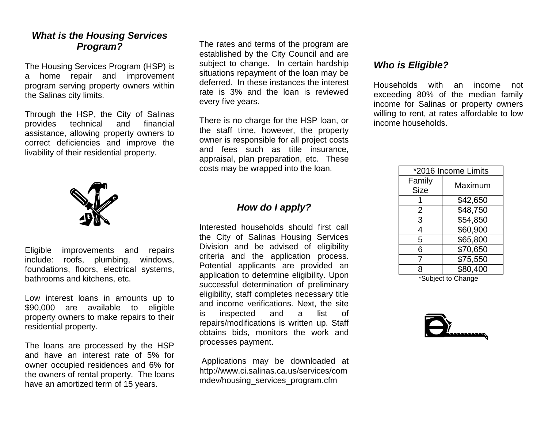## *What is the Housing Services Program?*

The Housing Services Program (HSP) is a home repair and improvement program serving property owners within the Salinas city limits.

Through the HSP, the City of Salinas provides technical and financial assistance, allowing property owners to correct deficiencies and improve the livability of their residential property.



Eligible improvements and repairs include: roofs, plumbing, windows, foundations, floors, electrical systems, bathrooms and kitchens, etc.

Low interest loans in amounts up to \$90,000 are available to eligible property owners to make repairs to their residential property.

The loans are processed by the HSP and have an interest rate of 5% for owner occupied residences and 6% for the owners of rental property. The loans have an amortized term of 15 years.

The rates and terms of the program are established by the City Council and are subject to change. In certain hardship situations repayment of the loan may be deferred. In these instances the interest rate is 3% and the loan is reviewed every five years.

There is no charge for the HSP loan, or the staff time, however, the property owner is responsible for all project costs and fees such as title insurance, appraisal, plan preparation, etc. These costs may be wrapped into the loan.

## *How do I apply?*

Interested households should first call the City of Salinas Housing Services Division and be advised of eligibility criteria and the application process. Potential applicants are provided an application to determine eligibility. Upon successful determination of preliminary eligibility, staff completes necessary title and income verifications. Next, the site is inspected and a list of repairs/modifications is written up. Staff obtains bids, monitors the work and processes payment.

 Applications may be downloaded at http://www.ci.salinas.ca.us/services/com mdev/housing\_services\_program.cfm

## *Who is Eligible?*

Households with an income not exceeding 80% of the median family income for Salinas or property owners willing to rent, at rates affordable to low income households.

| *2016 Income Limits   |          |
|-----------------------|----------|
| Family<br><b>Size</b> | Maximum  |
|                       | \$42,650 |
| 2                     | \$48,750 |
| 3                     | \$54,850 |
| 4                     | \$60,900 |
| 5                     | \$65,800 |
| 6                     | \$70,650 |
| 7                     | \$75,550 |
| 8                     | \$80,400 |

\*Subject to Change